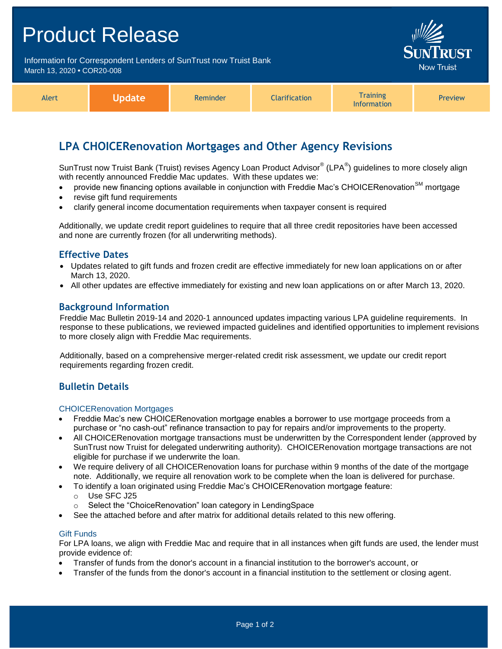| <b>Product Release</b>                                                                          |                               |  |
|-------------------------------------------------------------------------------------------------|-------------------------------|--|
| Information for Correspondent Lenders of SunTrust now Truist Bank<br>March 13, 2020 • COR20-008 | <b>SUNTRUST</b><br>Now Truist |  |
|                                                                                                 |                               |  |

| Alert | Update\ | Reminder | <b>Clarification</b> | <b>Training</b><br><b>Information</b> | <b>Preview</b> |
|-------|---------|----------|----------------------|---------------------------------------|----------------|
|-------|---------|----------|----------------------|---------------------------------------|----------------|

## **LPA CHOICERenovation Mortgages and Other Agency Revisions**

SunTrust now Truist Bank (Truist) revises Agency Loan Product Advisor® (LPA®) guidelines to more closely align with recently announced Freddie Mac updates. With these updates we:

- provide new financing options available in conjunction with Freddie Mac's CHOICERenovation<sup>SM</sup> mortgage
- revise gift fund requirements
- clarify general income documentation requirements when taxpayer consent is required

Additionally, we update credit report guidelines to require that all three credit repositories have been accessed and none are currently frozen (for all underwriting methods).

## **Effective Dates**

- Updates related to gift funds and frozen credit are effective immediately for new loan applications on or after March 13, 2020.
- All other updates are effective immediately for existing and new loan applications on or after March 13, 2020.

### **Background Information**

Freddie Mac Bulletin 2019-14 and 2020-1 announced updates impacting various LPA guideline requirements. In response to these publications, we reviewed impacted guidelines and identified opportunities to implement revisions to more closely align with Freddie Mac requirements.

Additionally, based on a comprehensive merger-related credit risk assessment, we update our credit report requirements regarding frozen credit.

## **Bulletin Details**

#### CHOICERenovation Mortgages

- Freddie Mac's new CHOICERenovation mortgage enables a borrower to use mortgage proceeds from a purchase or "no cash-out" refinance transaction to pay for repairs and/or improvements to the property.
- All CHOICERenovation mortgage transactions must be underwritten by the Correspondent lender (approved by SunTrust now Truist for delegated underwriting authority). CHOICERenovation mortgage transactions are not eligible for purchase if we underwrite the loan.
- We require delivery of all CHOICERenovation loans for purchase within 9 months of the date of the mortgage note. Additionally, we require all renovation work to be complete when the loan is delivered for purchase.
	- To identify a loan originated using Freddie Mac's CHOICERenovation mortgage feature:
		- o Use SFC J25
		- o Select the "ChoiceRenovation" loan category in LendingSpace
- See the attached before and after matrix for additional details related to this new offering.

#### Gift Funds

For LPA loans, we align with Freddie Mac and require that in all instances when gift funds are used, the lender must provide evidence of:

- Transfer of funds from the donor's account in a financial institution to the borrower's account, or
- Transfer of the funds from the donor's account in a financial institution to the settlement or closing agent.